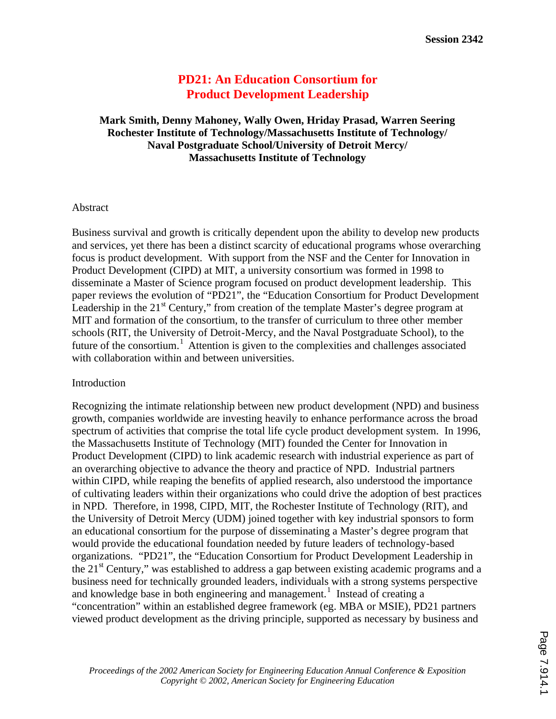# **PD21: An Education Consortium for Product Development Leadership**

## **Mark Smith, Denny Mahoney, Wally Owen, Hriday Prasad, Warren Seering Rochester Institute of Technology/Massachusetts Institute of Technology/ Naval Postgraduate School/University of Detroit Mercy/ Massachusetts Institute of Technology**

### Abstract

Business survival and growth is critically dependent upon the ability to develop new products and services, yet there has been a distinct scarcity of educational programs whose overarching focus is product development. With support from the NSF and the Center for Innovation in Product Development (CIPD) at MIT, a university consortium was formed in 1998 to disseminate a Master of Science program focused on product development leadership. This paper reviews the evolution of "PD21", the "Education Consortium for Product Development Leadership in the  $21<sup>st</sup>$  Century," from creation of the template Master's degree program at MIT and formation of the consortium, to the transfer of curriculum to three other member schools (RIT, the University of Detroit-Mercy, and the Naval Postgraduate School), to the future of the consortium.<sup>1</sup> Attention is given to the complexities and challenges associated with collaboration within and between universities.

#### Introduction

Recognizing the intimate relationship between new product development (NPD) and business growth, companies worldwide are investing heavily to enhance performance across the broad spectrum of activities that comprise the total life cycle product development system. In 1996, the Massachusetts Institute of Technology (MIT) founded the Center for Innovation in Product Development (CIPD) to link academic research with industrial experience as part of an overarching objective to advance the theory and practice of NPD. Industrial partners within CIPD, while reaping the benefits of applied research, also understood the importance of cultivating leaders within their organizations who could drive the adoption of best practices in NPD. Therefore, in 1998, CIPD, MIT, the Rochester Institute of Technology (RIT), and the University of Detroit Mercy (UDM) joined together with key industrial sponsors to form an educational consortium for the purpose of disseminating a Master's degree program that would provide the educational foundation needed by future leaders of technology-based organizations. "PD21", the "Education Consortium for Product Development Leadership in the  $21<sup>st</sup>$  Century," was established to address a gap between existing academic programs and a business need for technically grounded leaders, individuals with a strong systems perspective and knowledge base in both engineering and management.<sup>1</sup> Instead of creating a "concentration" within an established degree framework (eg. MBA or MSIE), PD21 partners viewed product development as the driving principle, supported as necessary by business and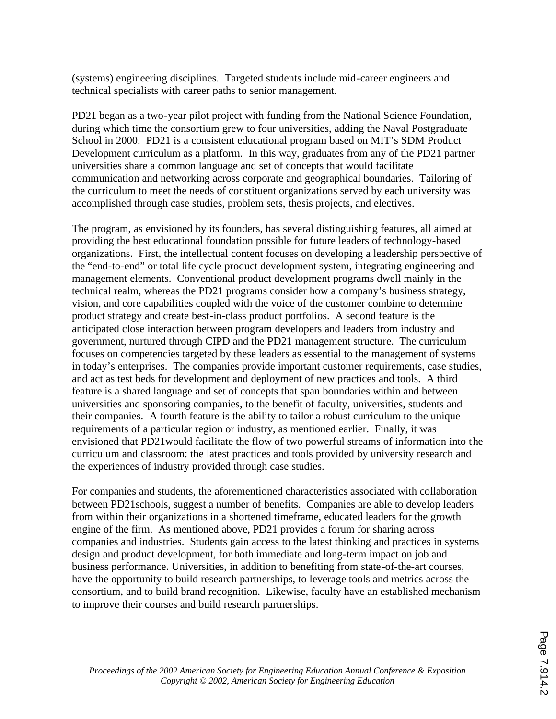(systems) engineering disciplines. Targeted students include mid-career engineers and technical specialists with career paths to senior management.

PD21 began as a two-year pilot project with funding from the National Science Foundation, during which time the consortium grew to four universities, adding the Naval Postgraduate School in 2000. PD21 is a consistent educational program based on MIT's SDM Product Development curriculum as a platform. In this way, graduates from any of the PD21 partner universities share a common language and set of concepts that would facilitate communication and networking across corporate and geographical boundaries. Tailoring of the curriculum to meet the needs of constituent organizations served by each university was accomplished through case studies, problem sets, thesis projects, and electives.

The program, as envisioned by its founders, has several distinguishing features, all aimed at providing the best educational foundation possible for future leaders of technology-based organizations. First, the intellectual content focuses on developing a leadership perspective of the "end-to-end" or total life cycle product development system, integrating engineering and management elements. Conventional product development programs dwell mainly in the technical realm, whereas the PD21 programs consider how a company's business strategy, vision, and core capabilities coupled with the voice of the customer combine to determine product strategy and create best-in-class product portfolios. A second feature is the anticipated close interaction between program developers and leaders from industry and government, nurtured through CIPD and the PD21 management structure. The curriculum focuses on competencies targeted by these leaders as essential to the management of systems in today's enterprises. The companies provide important customer requirements, case studies, and act as test beds for development and deployment of new practices and tools. A third feature is a shared language and set of concepts that span boundaries within and between universities and sponsoring companies, to the benefit of faculty, universities, students and their companies. A fourth feature is the ability to tailor a robust curriculum to the unique requirements of a particular region or industry, as mentioned earlier. Finally, it was envisioned that PD21would facilitate the flow of two powerful streams of information into the curriculum and classroom: the latest practices and tools provided by university research and the experiences of industry provided through case studies.

For companies and students, the aforementioned characteristics associated with collaboration between PD21schools, suggest a number of benefits. Companies are able to develop leaders from within their organizations in a shortened timeframe, educated leaders for the growth engine of the firm. As mentioned above, PD21 provides a forum for sharing across companies and industries. Students gain access to the latest thinking and practices in systems design and product development, for both immediate and long-term impact on job and business performance. Universities, in addition to benefiting from state-of-the-art courses, have the opportunity to build research partnerships, to leverage tools and metrics across the consortium, and to build brand recognition. Likewise, faculty have an established mechanism to improve their courses and build research partnerships.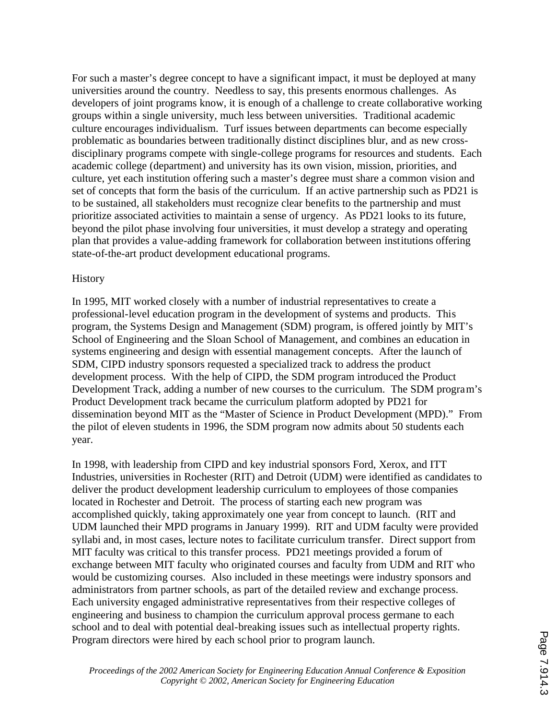For such a master's degree concept to have a significant impact, it must be deployed at many universities around the country. Needless to say, this presents enormous challenges. As developers of joint programs know, it is enough of a challenge to create collaborative working groups within a single university, much less between universities. Traditional academic culture encourages individualism. Turf issues between departments can become especially problematic as boundaries between traditionally distinct disciplines blur, and as new crossdisciplinary programs compete with single-college programs for resources and students. Each academic college (department) and university has its own vision, mission, priorities, and culture, yet each institution offering such a master's degree must share a common vision and set of concepts that form the basis of the curriculum. If an active partnership such as PD21 is to be sustained, all stakeholders must recognize clear benefits to the partnership and must prioritize associated activities to maintain a sense of urgency. As PD21 looks to its future, beyond the pilot phase involving four universities, it must develop a strategy and operating plan that provides a value-adding framework for collaboration between institutions offering state-of-the-art product development educational programs.

### **History**

In 1995, MIT worked closely with a number of industrial representatives to create a professional-level education program in the development of systems and products. This program, the Systems Design and Management (SDM) program, is offered jointly by MIT's School of Engineering and the Sloan School of Management, and combines an education in systems engineering and design with essential management concepts. After the launch of SDM, CIPD industry sponsors requested a specialized track to address the product development process. With the help of CIPD, the SDM program introduced the Product Development Track, adding a number of new courses to the curriculum. The SDM program's Product Development track became the curriculum platform adopted by PD21 for dissemination beyond MIT as the "Master of Science in Product Development (MPD)." From the pilot of eleven students in 1996, the SDM program now admits about 50 students each year.

In 1998, with leadership from CIPD and key industrial sponsors Ford, Xerox, and ITT Industries, universities in Rochester (RIT) and Detroit (UDM) were identified as candidates to deliver the product development leadership curriculum to employees of those companies located in Rochester and Detroit. The process of starting each new program was accomplished quickly, taking approximately one year from concept to launch. (RIT and UDM launched their MPD programs in January 1999). RIT and UDM faculty were provided syllabi and, in most cases, lecture notes to facilitate curriculum transfer. Direct support from MIT faculty was critical to this transfer process. PD21 meetings provided a forum of exchange between MIT faculty who originated courses and faculty from UDM and RIT who would be customizing courses. Also included in these meetings were industry sponsors and administrators from partner schools, as part of the detailed review and exchange process. Each university engaged administrative representatives from their respective colleges of engineering and business to champion the curriculum approval process germane to each school and to deal with potential deal-breaking issues such as intellectual property rights. Program directors were hired by each school prior to program launch.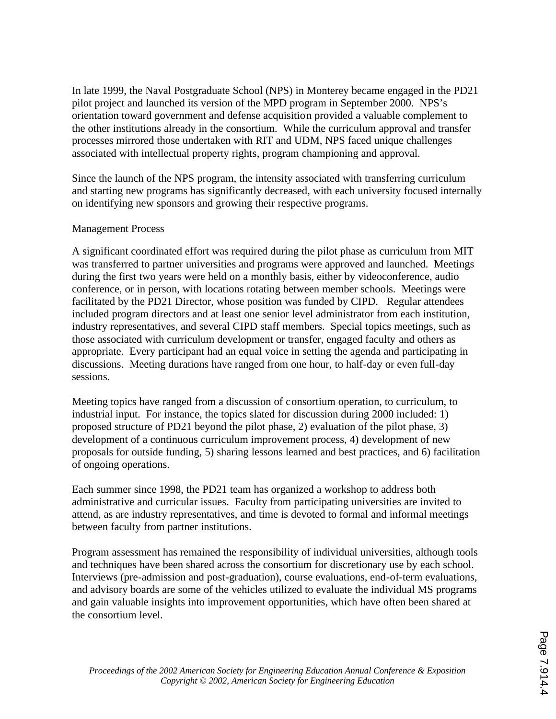In late 1999, the Naval Postgraduate School (NPS) in Monterey became engaged in the PD21 pilot project and launched its version of the MPD program in September 2000. NPS's orientation toward government and defense acquisition provided a valuable complement to the other institutions already in the consortium. While the curriculum approval and transfer processes mirrored those undertaken with RIT and UDM, NPS faced unique challenges associated with intellectual property rights, program championing and approval.

Since the launch of the NPS program, the intensity associated with transferring curriculum and starting new programs has significantly decreased, with each university focused internally on identifying new sponsors and growing their respective programs.

## Management Process

A significant coordinated effort was required during the pilot phase as curriculum from MIT was transferred to partner universities and programs were approved and launched. Meetings during the first two years were held on a monthly basis, either by videoconference, audio conference, or in person, with locations rotating between member schools. Meetings were facilitated by the PD21 Director, whose position was funded by CIPD. Regular attendees included program directors and at least one senior level administrator from each institution, industry representatives, and several CIPD staff members. Special topics meetings, such as those associated with curriculum development or transfer, engaged faculty and others as appropriate. Every participant had an equal voice in setting the agenda and participating in discussions. Meeting durations have ranged from one hour, to half-day or even full-day sessions.

Meeting topics have ranged from a discussion of consortium operation, to curriculum, to industrial input. For instance, the topics slated for discussion during 2000 included: 1) proposed structure of PD21 beyond the pilot phase, 2) evaluation of the pilot phase, 3) development of a continuous curriculum improvement process, 4) development of new proposals for outside funding, 5) sharing lessons learned and best practices, and 6) facilitation of ongoing operations.

Each summer since 1998, the PD21 team has organized a workshop to address both administrative and curricular issues. Faculty from participating universities are invited to attend, as are industry representatives, and time is devoted to formal and informal meetings between faculty from partner institutions.

Program assessment has remained the responsibility of individual universities, although tools and techniques have been shared across the consortium for discretionary use by each school. Interviews (pre-admission and post-graduation), course evaluations, end-of-term evaluations, and advisory boards are some of the vehicles utilized to evaluate the individual MS programs and gain valuable insights into improvement opportunities, which have often been shared at the consortium level.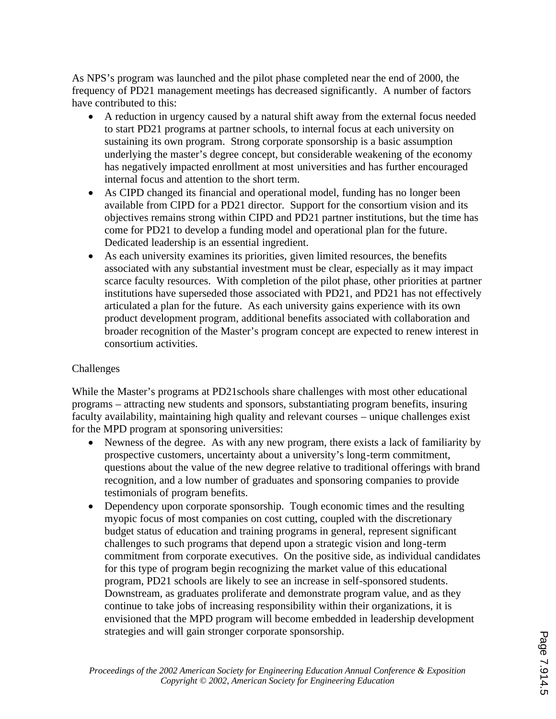As NPS's program was launched and the pilot phase completed near the end of 2000, the frequency of PD21 management meetings has decreased significantly. A number of factors have contributed to this:

- A reduction in urgency caused by a natural shift away from the external focus needed to start PD21 programs at partner schools, to internal focus at each university on sustaining its own program. Strong corporate sponsorship is a basic assumption underlying the master's degree concept, but considerable weakening of the economy has negatively impacted enrollment at most universities and has further encouraged internal focus and attention to the short term.
- · As CIPD changed its financial and operational model, funding has no longer been available from CIPD for a PD21 director. Support for the consortium vision and its objectives remains strong within CIPD and PD21 partner institutions, but the time has come for PD21 to develop a funding model and operational plan for the future. Dedicated leadership is an essential ingredient.
- As each university examines its priorities, given limited resources, the benefits associated with any substantial investment must be clear, especially as it may impact scarce faculty resources. With completion of the pilot phase, other priorities at partner institutions have superseded those associated with PD21, and PD21 has not effectively articulated a plan for the future. As each university gains experience with its own product development program, additional benefits associated with collaboration and broader recognition of the Master's program concept are expected to renew interest in consortium activities.

# Challenges

While the Master's programs at PD21schools share challenges with most other educational programs – attracting new students and sponsors, substantiating program benefits, insuring faculty availability, maintaining high quality and relevant courses – unique challenges exist for the MPD program at sponsoring universities:

- Newness of the degree. As with any new program, there exists a lack of familiarity by prospective customers, uncertainty about a university's long-term commitment, questions about the value of the new degree relative to traditional offerings with brand recognition, and a low number of graduates and sponsoring companies to provide testimonials of program benefits.
- Dependency upon corporate sponsorship. Tough economic times and the resulting myopic focus of most companies on cost cutting, coupled with the discretionary budget status of education and training programs in general, represent significant challenges to such programs that depend upon a strategic vision and long-term commitment from corporate executives. On the positive side, as individual candidates for this type of program begin recognizing the market value of this educational program, PD21 schools are likely to see an increase in self-sponsored students. Downstream, as graduates proliferate and demonstrate program value, and as they continue to take jobs of increasing responsibility within their organizations, it is envisioned that the MPD program will become embedded in leadership development strategies and will gain stronger corporate sponsorship.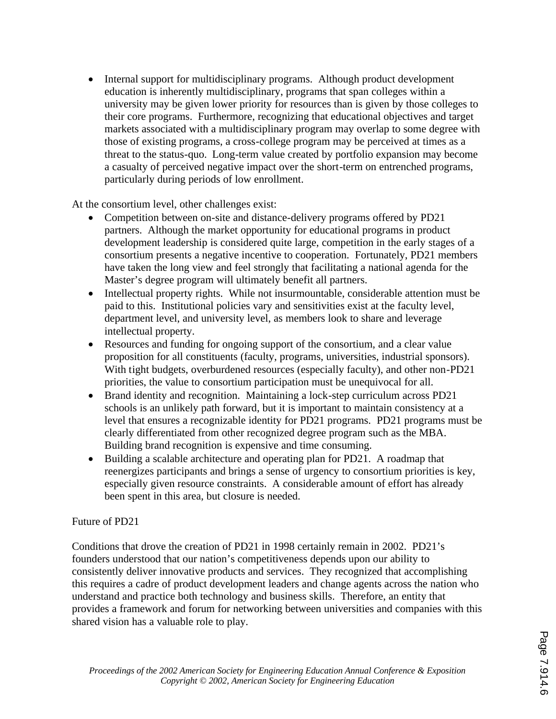• Internal support for multidisciplinary programs. Although product development education is inherently multidisciplinary, programs that span colleges within a university may be given lower priority for resources than is given by those colleges to their core programs. Furthermore, recognizing that educational objectives and target markets associated with a multidisciplinary program may overlap to some degree with those of existing programs, a cross-college program may be perceived at times as a threat to the status-quo. Long-term value created by portfolio expansion may become a casualty of perceived negative impact over the short-term on entrenched programs, particularly during periods of low enrollment.

At the consortium level, other challenges exist:

- · Competition between on-site and distance-delivery programs offered by PD21 partners. Although the market opportunity for educational programs in product development leadership is considered quite large, competition in the early stages of a consortium presents a negative incentive to cooperation. Fortunately, PD21 members have taken the long view and feel strongly that facilitating a national agenda for the Master's degree program will ultimately benefit all partners.
- Intellectual property rights. While not insurmountable, considerable attention must be paid to this. Institutional policies vary and sensitivities exist at the faculty level, department level, and university level, as members look to share and leverage intellectual property.
- Resources and funding for ongoing support of the consortium, and a clear value proposition for all constituents (faculty, programs, universities, industrial sponsors). With tight budgets, overburdened resources (especially faculty), and other non-PD21 priorities, the value to consortium participation must be unequivocal for all.
- Brand identity and recognition. Maintaining a lock-step curriculum across PD21 schools is an unlikely path forward, but it is important to maintain consistency at a level that ensures a recognizable identity for PD21 programs. PD21 programs must be clearly differentiated from other recognized degree program such as the MBA. Building brand recognition is expensive and time consuming.
- Building a scalable architecture and operating plan for PD21. A roadmap that reenergizes participants and brings a sense of urgency to consortium priorities is key, especially given resource constraints. A considerable amount of effort has already been spent in this area, but closure is needed.

# Future of PD21

Conditions that drove the creation of PD21 in 1998 certainly remain in 2002. PD21's founders understood that our nation's competitiveness depends upon our ability to consistently deliver innovative products and services. They recognized that accomplishing this requires a cadre of product development leaders and change agents across the nation who understand and practice both technology and business skills. Therefore, an entity that provides a framework and forum for networking between universities and companies with this shared vision has a valuable role to play.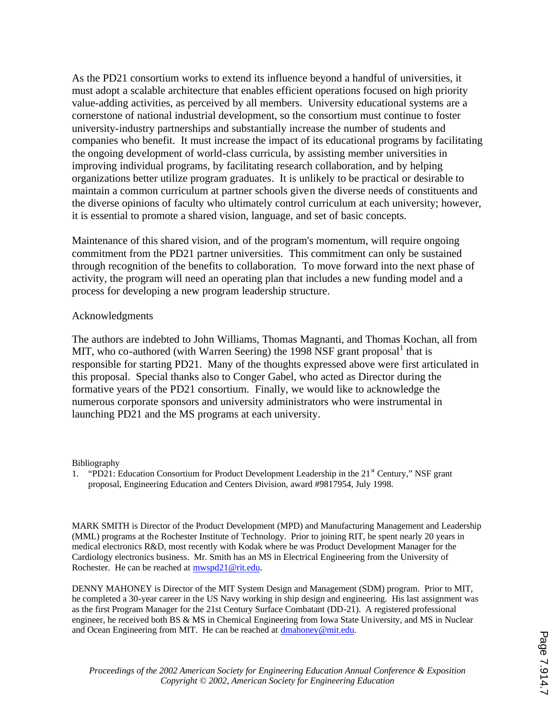As the PD21 consortium works to extend its influence beyond a handful of universities, it must adopt a scalable architecture that enables efficient operations focused on high priority value-adding activities, as perceived by all members. University educational systems are a cornerstone of national industrial development, so the consortium must continue to foster university-industry partnerships and substantially increase the number of students and companies who benefit. It must increase the impact of its educational programs by facilitating the ongoing development of world-class curricula, by assisting member universities in improving individual programs, by facilitating research collaboration, and by helping organizations better utilize program graduates. It is unlikely to be practical or desirable to maintain a common curriculum at partner schools given the diverse needs of constituents and the diverse opinions of faculty who ultimately control curriculum at each university; however, it is essential to promote a shared vision, language, and set of basic concepts.

Maintenance of this shared vision, and of the program's momentum, will require ongoing commitment from the PD21 partner universities. This commitment can only be sustained through recognition of the benefits to collaboration. To move forward into the next phase of activity, the program will need an operating plan that includes a new funding model and a process for developing a new program leadership structure.

#### Acknowledgments

The authors are indebted to John Williams, Thomas Magnanti, and Thomas Kochan, all from MIT, who co-authored (with Warren Seering) the 1998 NSF grant proposal  $^1$  that is responsible for starting PD21. Many of the thoughts expressed above were first articulated in this proposal. Special thanks also to Conger Gabel, who acted as Director during the formative years of the PD21 consortium. Finally, we would like to acknowledge the numerous corporate sponsors and university administrators who were instrumental in launching PD21 and the MS programs at each university.

Bibliography

1. "PD21: Education Consortium for Product Development Leadership in the 21<sup>st</sup> Century," NSF grant proposal, Engineering Education and Centers Division, award #9817954, July 1998.

MARK SMITH is Director of the Product Development (MPD) and Manufacturing Management and Leadership (MML) programs at the Rochester Institute of Technology. Prior to joining RIT, he spent nearly 20 years in medical electronics R&D, most recently with Kodak where he was Product Development Manager for the Cardiology electronics business. Mr. Smith has an MS in Electrical Engineering from the University of Rochester. He can be reached at mwspd21@rit.edu.

DENNY MAHONEY is Director of the MIT System Design and Management (SDM) program. Prior to MIT, he completed a 30-year career in the US Navy working in ship design and engineering. His last assignment was as the first Program Manager for the 21st Century Surface Combatant (DD-21). A registered professional engineer, he received both BS & MS in Chemical Engineering from Iowa State University, and MS in Nuclear and Ocean Engineering from MIT. He can be reached at dmahoney@mit.edu.